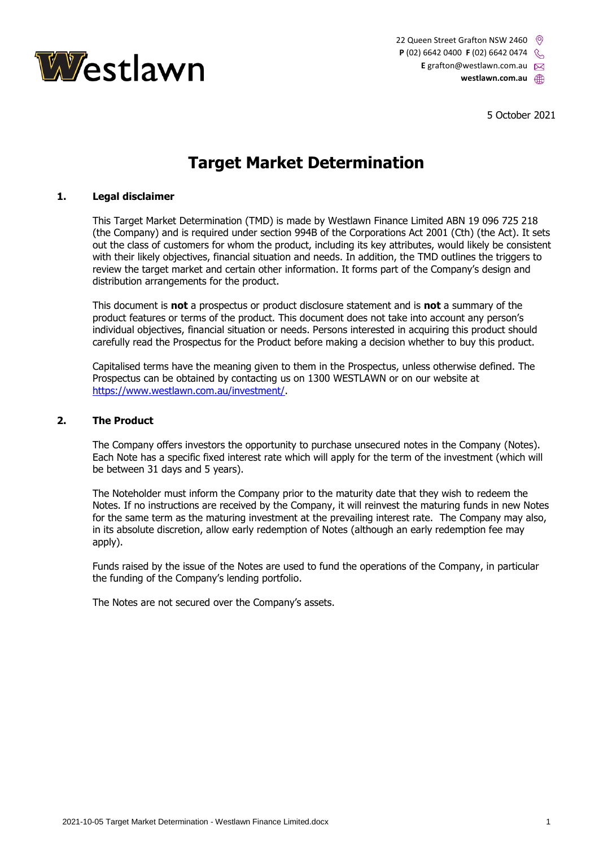

22 Queen Street Grafton NSW 2460 **P** (02) 6642 0400 **F** (02) 6642 0474 E grafton@westlawn.com.au **westlawn.com.au**

5 October 2021

# **Target Market Determination**

# **1. Legal disclaimer**

This Target Market Determination (TMD) is made by Westlawn Finance Limited ABN 19 096 725 218 (the Company) and is required under section 994B of the Corporations Act 2001 (Cth) (the Act). It sets out the class of customers for whom the product, including its key attributes, would likely be consistent with their likely objectives, financial situation and needs. In addition, the TMD outlines the triggers to review the target market and certain other information. It forms part of the Company's design and distribution arrangements for the product.

This document is **not** a prospectus or product disclosure statement and is **not** a summary of the product features or terms of the product. This document does not take into account any person's individual objectives, financial situation or needs. Persons interested in acquiring this product should carefully read the Prospectus for the Product before making a decision whether to buy this product.

Capitalised terms have the meaning given to them in the Prospectus, unless otherwise defined. The Prospectus can be obtained by contacting us on 1300 WESTLAWN or on our website at [https://www.westlawn.com.au/investment/.](https://www.westlawn.com.au/investment/)

#### **2. The Product**

The Company offers investors the opportunity to purchase unsecured notes in the Company (Notes). Each Note has a specific fixed interest rate which will apply for the term of the investment (which will be between 31 days and 5 years).

The Noteholder must inform the Company prior to the maturity date that they wish to redeem the Notes. If no instructions are received by the Company, it will reinvest the maturing funds in new Notes for the same term as the maturing investment at the prevailing interest rate. The Company may also, in its absolute discretion, allow early redemption of Notes (although an early redemption fee may apply).

Funds raised by the issue of the Notes are used to fund the operations of the Company, in particular the funding of the Company's lending portfolio.

The Notes are not secured over the Company's assets.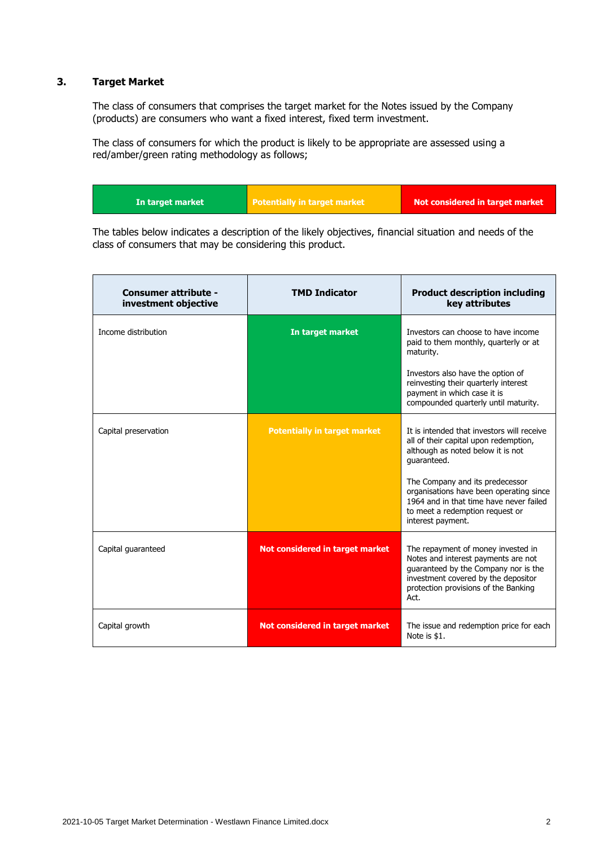# **3. Target Market**

The class of consumers that comprises the target market for the Notes issued by the Company (products) are consumers who want a fixed interest, fixed term investment.

The class of consumers for which the product is likely to be appropriate are assessed using a red/amber/green rating methodology as follows;

The tables below indicates a description of the likely objectives, financial situation and needs of the class of consumers that may be considering this product.

| <b>Consumer attribute -</b><br>investment objective | <b>TMD Indicator</b>                | <b>Product description including</b><br>key attributes                                                                                                                                                   |
|-----------------------------------------------------|-------------------------------------|----------------------------------------------------------------------------------------------------------------------------------------------------------------------------------------------------------|
| Income distribution                                 | In target market                    | Investors can choose to have income<br>paid to them monthly, quarterly or at<br>maturity.                                                                                                                |
|                                                     |                                     | Investors also have the option of<br>reinvesting their quarterly interest<br>payment in which case it is<br>compounded quarterly until maturity.                                                         |
| Capital preservation                                | <b>Potentially in target market</b> | It is intended that investors will receive<br>all of their capital upon redemption,<br>although as noted below it is not<br>quaranteed.<br>The Company and its predecessor                               |
|                                                     |                                     | organisations have been operating since<br>1964 and in that time have never failed<br>to meet a redemption request or<br>interest payment.                                                               |
| Capital quaranteed                                  | Not considered in target market     | The repayment of money invested in<br>Notes and interest payments are not<br>guaranteed by the Company nor is the<br>investment covered by the depositor<br>protection provisions of the Banking<br>Act. |
| Capital growth                                      | Not considered in target market     | The issue and redemption price for each<br>Note is \$1.                                                                                                                                                  |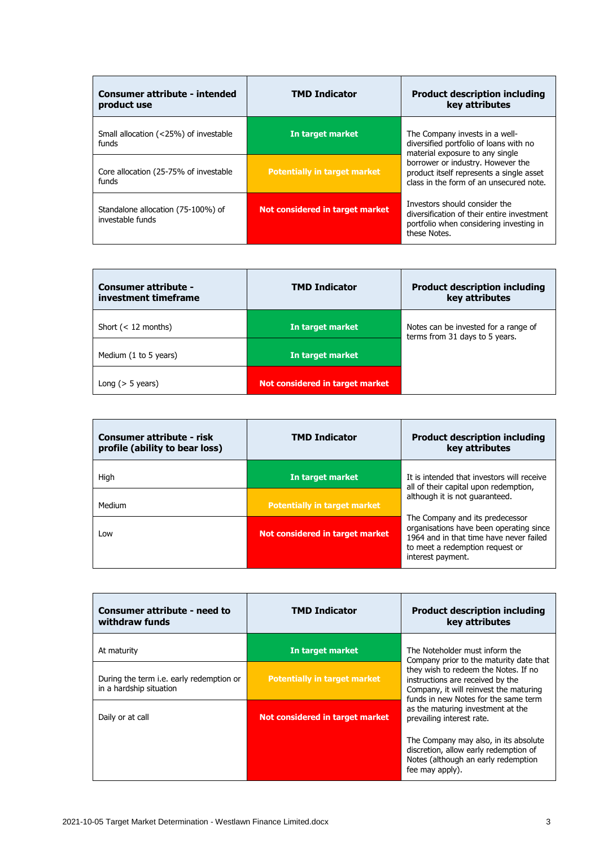| Consumer attribute - intended<br>product use           | <b>TMD Indicator</b>                | <b>Product description including</b><br>key attributes                                                                                 |
|--------------------------------------------------------|-------------------------------------|----------------------------------------------------------------------------------------------------------------------------------------|
| Small allocation (<25%) of investable<br>funds         | In target market                    | The Company invests in a well-<br>diversified portfolio of loans with no<br>material exposure to any single                            |
| Core allocation (25-75% of investable<br>funds         | <b>Potentially in target market</b> | borrower or industry. However the<br>product itself represents a single asset<br>class in the form of an unsecured note.               |
| Standalone allocation (75-100%) of<br>investable funds | Not considered in target market     | Investors should consider the<br>diversification of their entire investment<br>portfolio when considering investing in<br>these Notes. |

| <b>Consumer attribute -</b><br>investment timeframe | <b>TMD Indicator</b>            | <b>Product description including</b><br>key attributes                 |
|-----------------------------------------------------|---------------------------------|------------------------------------------------------------------------|
| Short $(< 12$ months)                               | In target market                | Notes can be invested for a range of<br>terms from 31 days to 5 years. |
| Medium (1 to 5 years)                               | In target market                |                                                                        |
| Long $($ > 5 years)                                 | Not considered in target market |                                                                        |

| <b>Consumer attribute - risk</b><br>profile (ability to bear loss) | <b>TMD Indicator</b>                | <b>Product description including</b><br>key attributes                                                                                                                        |
|--------------------------------------------------------------------|-------------------------------------|-------------------------------------------------------------------------------------------------------------------------------------------------------------------------------|
| High                                                               | In target market                    | It is intended that investors will receive<br>all of their capital upon redemption,                                                                                           |
| Medium                                                             | <b>Potentially in target market</b> | although it is not quaranteed.                                                                                                                                                |
| Low                                                                | Not considered in target market     | The Company and its predecessor<br>organisations have been operating since<br>1964 and in that time have never failed<br>to meet a redemption request or<br>interest payment. |

| <b>Consumer attribute - need to</b><br>withdraw funds                      | <b>TMD Indicator</b>                | <b>Product description including</b><br>key attributes                                                                                                                                                                                                                                                    |
|----------------------------------------------------------------------------|-------------------------------------|-----------------------------------------------------------------------------------------------------------------------------------------------------------------------------------------------------------------------------------------------------------------------------------------------------------|
| At maturity                                                                | In target market                    | The Noteholder must inform the<br>Company prior to the maturity date that<br>they wish to redeem the Notes. If no<br>instructions are received by the<br>Company, it will reinvest the maturing<br>funds in new Notes for the same term<br>as the maturing investment at the<br>prevailing interest rate. |
| During the term <i>i.e.</i> early redemption or<br>in a hardship situation | <b>Potentially in target market</b> |                                                                                                                                                                                                                                                                                                           |
| Daily or at call                                                           | Not considered in target market     |                                                                                                                                                                                                                                                                                                           |
|                                                                            |                                     | The Company may also, in its absolute<br>discretion, allow early redemption of<br>Notes (although an early redemption<br>fee may apply).                                                                                                                                                                  |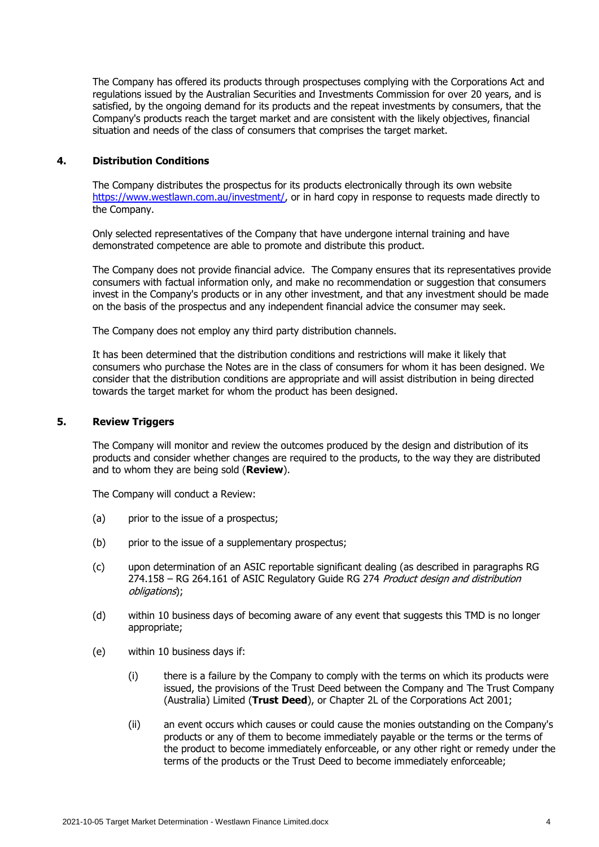The Company has offered its products through prospectuses complying with the Corporations Act and regulations issued by the Australian Securities and Investments Commission for over 20 years, and is satisfied, by the ongoing demand for its products and the repeat investments by consumers, that the Company's products reach the target market and are consistent with the likely objectives, financial situation and needs of the class of consumers that comprises the target market.

## **4. Distribution Conditions**

The Company distributes the prospectus for its products electronically through its own website [https://www.westlawn.com.au/investment/,](https://www.westlawn.com.au/investment/) or in hard copy in response to requests made directly to the Company.

Only selected representatives of the Company that have undergone internal training and have demonstrated competence are able to promote and distribute this product.

The Company does not provide financial advice. The Company ensures that its representatives provide consumers with factual information only, and make no recommendation or suggestion that consumers invest in the Company's products or in any other investment, and that any investment should be made on the basis of the prospectus and any independent financial advice the consumer may seek.

The Company does not employ any third party distribution channels.

It has been determined that the distribution conditions and restrictions will make it likely that consumers who purchase the Notes are in the class of consumers for whom it has been designed. We consider that the distribution conditions are appropriate and will assist distribution in being directed towards the target market for whom the product has been designed.

#### **5. Review Triggers**

The Company will monitor and review the outcomes produced by the design and distribution of its products and consider whether changes are required to the products, to the way they are distributed and to whom they are being sold (**Review**).

The Company will conduct a Review:

- (a) prior to the issue of a prospectus;
- (b) prior to the issue of a supplementary prospectus;
- (c) upon determination of an ASIC reportable significant dealing (as described in paragraphs RG 274.158 – RG 264.161 of ASIC Regulatory Guide RG 274 Product design and distribution obligations);
- (d) within 10 business days of becoming aware of any event that suggests this TMD is no longer appropriate;
- (e) within 10 business days if:
	- (i) there is a failure by the Company to comply with the terms on which its products were issued, the provisions of the Trust Deed between the Company and The Trust Company (Australia) Limited (**Trust Deed**), or Chapter 2L of the Corporations Act 2001;
	- (ii) an event occurs which causes or could cause the monies outstanding on the Company's products or any of them to become immediately payable or the terms or the terms of the product to become immediately enforceable, or any other right or remedy under the terms of the products or the Trust Deed to become immediately enforceable;